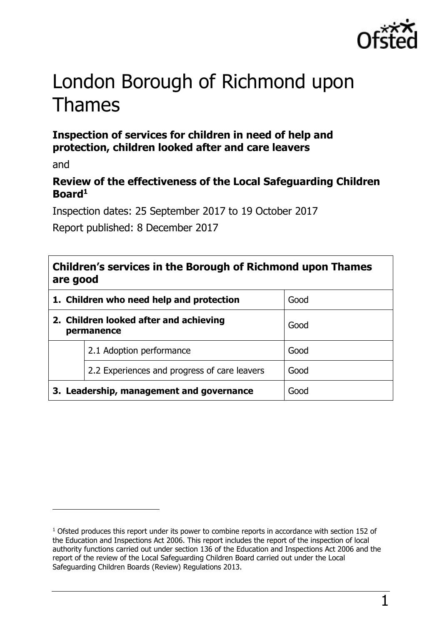

# London Borough of Richmond upon Thames

## **Inspection of services for children in need of help and protection, children looked after and care leavers**

and

 $\overline{a}$ 

## **Review of the effectiveness of the Local Safeguarding Children Board<sup>1</sup>**

Inspection dates: 25 September 2017 to 19 October 2017

Report published: 8 December 2017

## **Children's services in the Borough of Richmond upon Thames are good**

| 1. Children who need help and protection             |                                              | Good |
|------------------------------------------------------|----------------------------------------------|------|
| 2. Children looked after and achieving<br>permanence |                                              | Good |
|                                                      | 2.1 Adoption performance                     | Good |
|                                                      | 2.2 Experiences and progress of care leavers | Good |
| 3. Leadership, management and governance             |                                              | Good |

<sup>&</sup>lt;sup>1</sup> Ofsted produces this report under its power to combine reports in accordance with section 152 of the Education and Inspections Act 2006. This report includes the report of the inspection of local authority functions carried out under section 136 of the Education and Inspections Act 2006 and the report of the review of the Local Safeguarding Children Board carried out under the Local Safeguarding Children Boards (Review) Regulations 2013.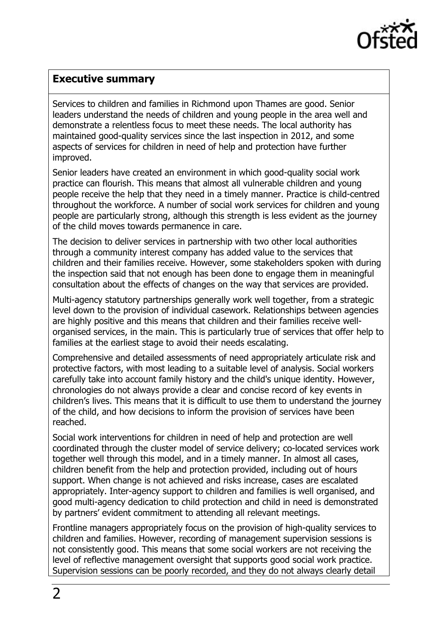

#### <span id="page-1-0"></span>**Executive summary**

Services to children and families in Richmond upon Thames are good. Senior leaders understand the needs of children and young people in the area well and demonstrate a relentless focus to meet these needs. The local authority has maintained good-quality services since the last inspection in 2012, and some aspects of services for children in need of help and protection have further improved.

Senior leaders have created an environment in which good-quality social work practice can flourish. This means that almost all vulnerable children and young people receive the help that they need in a timely manner. Practice is child-centred throughout the workforce. A number of social work services for children and young people are particularly strong, although this strength is less evident as the journey of the child moves towards permanence in care.

The decision to deliver services in partnership with two other local authorities through a community interest company has added value to the services that children and their families receive. However, some stakeholders spoken with during the inspection said that not enough has been done to engage them in meaningful consultation about the effects of changes on the way that services are provided.

Multi-agency statutory partnerships generally work well together, from a strategic level down to the provision of individual casework. Relationships between agencies are highly positive and this means that children and their families receive wellorganised services, in the main. This is particularly true of services that offer help to families at the earliest stage to avoid their needs escalating.

Comprehensive and detailed assessments of need appropriately articulate risk and protective factors, with most leading to a suitable level of analysis. Social workers carefully take into account family history and the child's unique identity. However, chronologies do not always provide a clear and concise record of key events in children's lives. This means that it is difficult to use them to understand the journey of the child, and how decisions to inform the provision of services have been reached.

Social work interventions for children in need of help and protection are well coordinated through the cluster model of service delivery; co-located services work together well through this model, and in a timely manner. In almost all cases, children benefit from the help and protection provided, including out of hours support. When change is not achieved and risks increase, cases are escalated appropriately. Inter-agency support to children and families is well organised, and good multi-agency dedication to child protection and child in need is demonstrated by partners' evident commitment to attending all relevant meetings.

Frontline managers appropriately focus on the provision of high-quality services to children and families. However, recording of management supervision sessions is not consistently good. This means that some social workers are not receiving the level of reflective management oversight that supports good social work practice. Supervision sessions can be poorly recorded, and they do not always clearly detail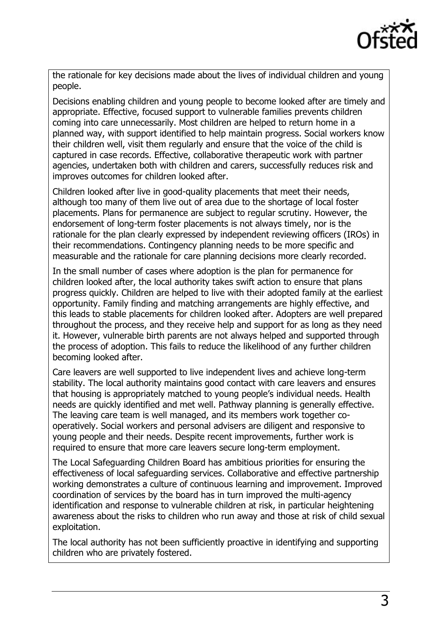

the rationale for key decisions made about the lives of individual children and young people.

Decisions enabling children and young people to become looked after are timely and appropriate. Effective, focused support to vulnerable families prevents children coming into care unnecessarily. Most children are helped to return home in a planned way, with support identified to help maintain progress. Social workers know their children well, visit them regularly and ensure that the voice of the child is captured in case records. Effective, collaborative therapeutic work with partner agencies, undertaken both with children and carers, successfully reduces risk and improves outcomes for children looked after.

Children looked after live in good-quality placements that meet their needs, although too many of them live out of area due to the shortage of local foster placements. Plans for permanence are subject to regular scrutiny. However, the endorsement of long-term foster placements is not always timely, nor is the rationale for the plan clearly expressed by independent reviewing officers (IROs) in their recommendations. Contingency planning needs to be more specific and measurable and the rationale for care planning decisions more clearly recorded.

In the small number of cases where adoption is the plan for permanence for children looked after, the local authority takes swift action to ensure that plans progress quickly. Children are helped to live with their adopted family at the earliest opportunity. Family finding and matching arrangements are highly effective, and this leads to stable placements for children looked after. Adopters are well prepared throughout the process, and they receive help and support for as long as they need it. However, vulnerable birth parents are not always helped and supported through the process of adoption. This fails to reduce the likelihood of any further children becoming looked after.

Care leavers are well supported to live independent lives and achieve long-term stability. The local authority maintains good contact with care leavers and ensures that housing is appropriately matched to young people's individual needs. Health needs are quickly identified and met well. Pathway planning is generally effective. The leaving care team is well managed, and its members work together cooperatively. Social workers and personal advisers are diligent and responsive to young people and their needs. Despite recent improvements, further work is required to ensure that more care leavers secure long-term employment.

The Local Safeguarding Children Board has ambitious priorities for ensuring the effectiveness of local safeguarding services. Collaborative and effective partnership working demonstrates a culture of continuous learning and improvement. Improved coordination of services by the board has in turn improved the multi-agency identification and response to vulnerable children at risk, in particular heightening awareness about the risks to children who run away and those at risk of child sexual exploitation.

The local authority has not been sufficiently proactive in identifying and supporting children who are privately fostered.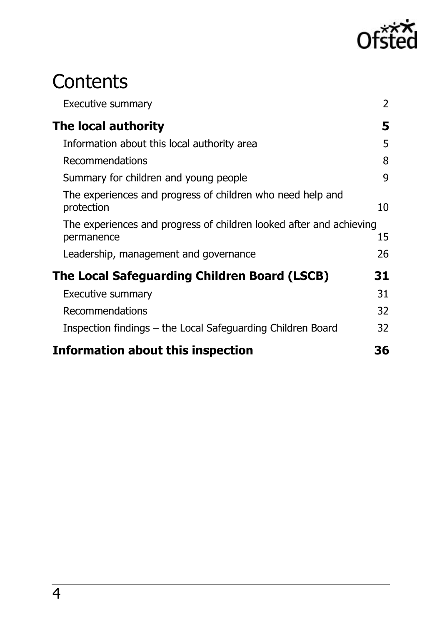

# **Contents**

| <b>Executive summary</b>                                                          | $\overline{2}$ |
|-----------------------------------------------------------------------------------|----------------|
| The local authority                                                               | 5              |
| Information about this local authority area                                       | 5              |
| Recommendations                                                                   | 8              |
| Summary for children and young people                                             |                |
| The experiences and progress of children who need help and<br>protection          | 10             |
| The experiences and progress of children looked after and achieving<br>permanence | 15             |
| Leadership, management and governance                                             | 26             |
| The Local Safeguarding Children Board (LSCB)                                      | 31             |
| <b>Executive summary</b>                                                          | 31             |
| Recommendations                                                                   | 32             |
| Inspection findings – the Local Safeguarding Children Board                       | 32             |
| <b>Information about this inspection</b>                                          | 36             |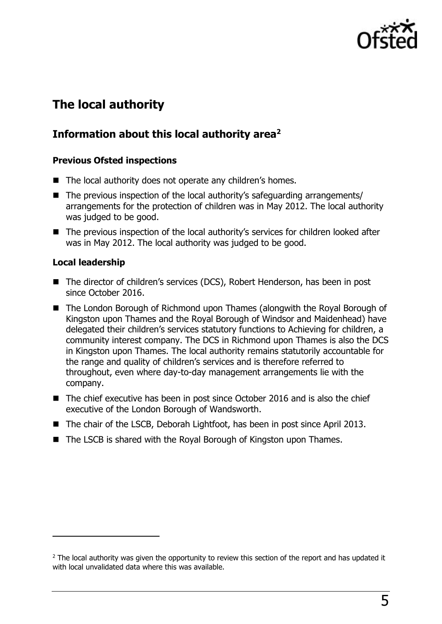

# <span id="page-4-0"></span>**The local authority**

## <span id="page-4-1"></span>**Information about this local authority area<sup>2</sup>**

#### **Previous Ofsted inspections**

- The local authority does not operate any children's homes.
- The previous inspection of the local authority's safeguarding arrangements/ arrangements for the protection of children was in May 2012. The local authority was judged to be good.
- The previous inspection of the local authority's services for children looked after was in May 2012. The local authority was judged to be good.

#### **Local leadership**

 $\overline{a}$ 

- The director of children's services (DCS), Robert Henderson, has been in post since October 2016.
- The London Borough of Richmond upon Thames (alongwith the Royal Borough of Kingston upon Thames and the Royal Borough of Windsor and Maidenhead) have delegated their children's services statutory functions to Achieving for children, a community interest company. The DCS in Richmond upon Thames is also the DCS in Kingston upon Thames. The local authority remains statutorily accountable for the range and quality of children's services and is therefore referred to throughout, even where day-to-day management arrangements lie with the company.
- The chief executive has been in post since October 2016 and is also the chief executive of the London Borough of Wandsworth.
- The chair of the LSCB, Deborah Lightfoot, has been in post since April 2013.
- The LSCB is shared with the Royal Borough of Kingston upon Thames.

 $2$  The local authority was given the opportunity to review this section of the report and has updated it with local unvalidated data where this was available.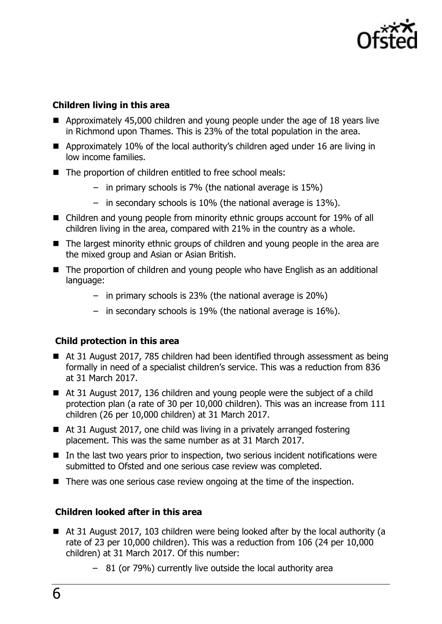

#### **Children living in this area**

- Approximately 45,000 children and young people under the age of 18 years live in Richmond upon Thames. This is 23% of the total population in the area.
- Approximately 10% of the local authority's children aged under 16 are living in low income families.
- The proportion of children entitled to free school meals:
	- in primary schools is 7% (the national average is 15%)
	- in secondary schools is 10% (the national average is 13%).
- Children and young people from minority ethnic groups account for 19% of all children living in the area, compared with 21% in the country as a whole.
- The largest minority ethnic groups of children and young people in the area are the mixed group and Asian or Asian British.
- The proportion of children and young people who have English as an additional language:
	- in primary schools is 23% (the national average is 20%)
	- in secondary schools is 19% (the national average is 16%).

#### **Child protection in this area**

- At 31 August 2017, 785 children had been identified through assessment as being formally in need of a specialist children's service. This was a reduction from 836 at 31 March 2017.
- At 31 August 2017, 136 children and young people were the subject of a child protection plan (a rate of 30 per 10,000 children). This was an increase from 111 children (26 per 10,000 children) at 31 March 2017.
- At 31 August 2017, one child was living in a privately arranged fostering placement. This was the same number as at 31 March 2017.
- $\blacksquare$  In the last two years prior to inspection, two serious incident notifications were submitted to Ofsted and one serious case review was completed.
- There was one serious case review ongoing at the time of the inspection.

#### **Children looked after in this area**

- At 31 August 2017, 103 children were being looked after by the local authority (a rate of 23 per 10,000 children). This was a reduction from 106 (24 per 10,000 children) at 31 March 2017. Of this number:
	- 81 (or 79%) currently live outside the local authority area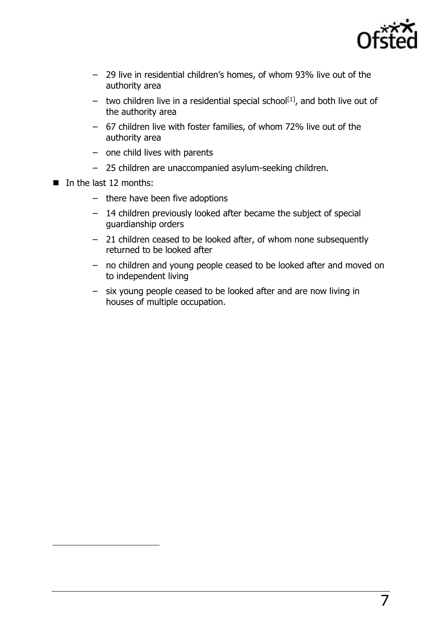

7

- 29 live in residential children's homes, of whom 93% live out of the authority area
- two children live in a residential special school<sup>[1]</sup>, and both live out of the authority area
- 67 children live with foster families, of whom 72% live out of the authority area
- one child lives with parents
- 25 children are unaccompanied asylum-seeking children.
- $\blacksquare$  In the last 12 months:

 $\overline{a}$ 

- there have been five adoptions
- 14 children previously looked after became the subject of special guardianship orders
- 21 children ceased to be looked after, of whom none subsequently returned to be looked after
- no children and young people ceased to be looked after and moved on to independent living
- six young people ceased to be looked after and are now living in houses of multiple occupation.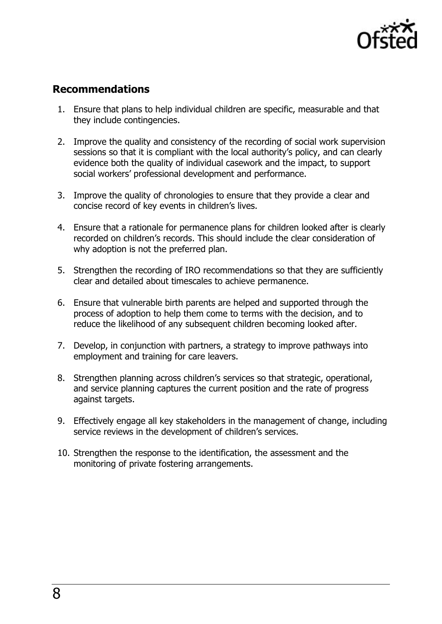

## <span id="page-7-0"></span>**Recommendations**

- 1. Ensure that plans to help individual children are specific, measurable and that they include contingencies.
- 2. Improve the quality and consistency of the recording of social work supervision sessions so that it is compliant with the local authority's policy, and can clearly evidence both the quality of individual casework and the impact, to support social workers' professional development and performance.
- 3. Improve the quality of chronologies to ensure that they provide a clear and concise record of key events in children's lives.
- 4. Ensure that a rationale for permanence plans for children looked after is clearly recorded on children's records. This should include the clear consideration of why adoption is not the preferred plan.
- 5. Strengthen the recording of IRO recommendations so that they are sufficiently clear and detailed about timescales to achieve permanence.
- 6. Ensure that vulnerable birth parents are helped and supported through the process of adoption to help them come to terms with the decision, and to reduce the likelihood of any subsequent children becoming looked after.
- 7. Develop, in conjunction with partners, a strategy to improve pathways into employment and training for care leavers.
- 8. Strengthen planning across children's services so that strategic, operational, and service planning captures the current position and the rate of progress against targets.
- 9. Effectively engage all key stakeholders in the management of change, including service reviews in the development of children's services.
- 10. Strengthen the response to the identification, the assessment and the monitoring of private fostering arrangements.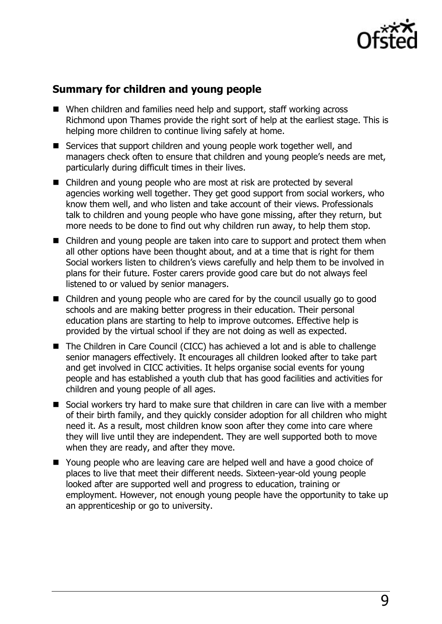

## <span id="page-8-0"></span>**Summary for children and young people**

- When children and families need help and support, staff working across Richmond upon Thames provide the right sort of help at the earliest stage. This is helping more children to continue living safely at home.
- Services that support children and young people work together well, and managers check often to ensure that children and young people's needs are met, particularly during difficult times in their lives.
- Children and young people who are most at risk are protected by several agencies working well together. They get good support from social workers, who know them well, and who listen and take account of their views. Professionals talk to children and young people who have gone missing, after they return, but more needs to be done to find out why children run away, to help them stop.
- Children and young people are taken into care to support and protect them when all other options have been thought about, and at a time that is right for them Social workers listen to children's views carefully and help them to be involved in plans for their future. Foster carers provide good care but do not always feel listened to or valued by senior managers.
- Children and young people who are cared for by the council usually go to good schools and are making better progress in their education. Their personal education plans are starting to help to improve outcomes. Effective help is provided by the virtual school if they are not doing as well as expected.
- The Children in Care Council (CICC) has achieved a lot and is able to challenge senior managers effectively. It encourages all children looked after to take part and get involved in CICC activities. It helps organise social events for young people and has established a youth club that has good facilities and activities for children and young people of all ages.
- Social workers try hard to make sure that children in care can live with a member of their birth family, and they quickly consider adoption for all children who might need it. As a result, most children know soon after they come into care where they will live until they are independent. They are well supported both to move when they are ready, and after they move.
- Young people who are leaving care are helped well and have a good choice of places to live that meet their different needs. Sixteen-year-old young people looked after are supported well and progress to education, training or employment. However, not enough young people have the opportunity to take up an apprenticeship or go to university.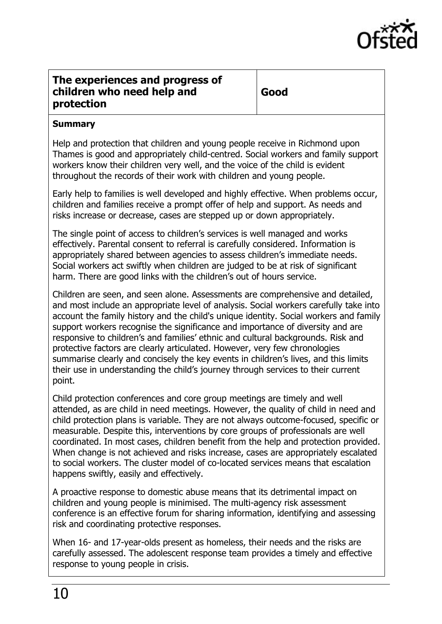

#### <span id="page-9-0"></span>**The experiences and progress of children who need help and protection**

#### **Summary**

Help and protection that children and young people receive in Richmond upon Thames is good and appropriately child-centred. Social workers and family support workers know their children very well, and the voice of the child is evident throughout the records of their work with children and young people.

Early help to families is well developed and highly effective. When problems occur, children and families receive a prompt offer of help and support. As needs and risks increase or decrease, cases are stepped up or down appropriately.

The single point of access to children's services is well managed and works effectively. Parental consent to referral is carefully considered. Information is appropriately shared between agencies to assess children's immediate needs. Social workers act swiftly when children are judged to be at risk of significant harm. There are good links with the children's out of hours service.

Children are seen, and seen alone. Assessments are comprehensive and detailed, and most include an appropriate level of analysis. Social workers carefully take into account the family history and the child's unique identity. Social workers and family support workers recognise the significance and importance of diversity and are responsive to children's and families' ethnic and cultural backgrounds. Risk and protective factors are clearly articulated. However, very few chronologies summarise clearly and concisely the key events in children's lives, and this limits their use in understanding the child's journey through services to their current point.

Child protection conferences and core group meetings are timely and well attended, as are child in need meetings. However, the quality of child in need and child protection plans is variable. They are not always outcome-focused, specific or measurable. Despite this, interventions by core groups of professionals are well coordinated. In most cases, children benefit from the help and protection provided. When change is not achieved and risks increase, cases are appropriately escalated to social workers. The cluster model of co-located services means that escalation happens swiftly, easily and effectively.

A proactive response to domestic abuse means that its detrimental impact on children and young people is minimised. The multi-agency risk assessment conference is an effective forum for sharing information, identifying and assessing risk and coordinating protective responses.

When 16- and 17-year-olds present as homeless, their needs and the risks are carefully assessed. The adolescent response team provides a timely and effective response to young people in crisis.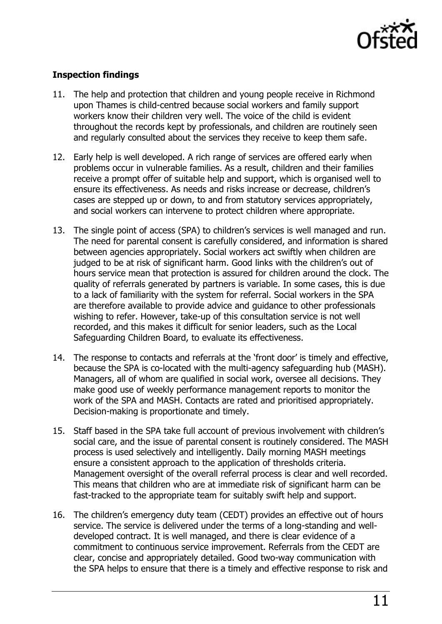

#### **Inspection findings**

- 11. The help and protection that children and young people receive in Richmond upon Thames is child-centred because social workers and family support workers know their children very well. The voice of the child is evident throughout the records kept by professionals, and children are routinely seen and regularly consulted about the services they receive to keep them safe.
- 12. Early help is well developed. A rich range of services are offered early when problems occur in vulnerable families. As a result, children and their families receive a prompt offer of suitable help and support, which is organised well to ensure its effectiveness. As needs and risks increase or decrease, children's cases are stepped up or down, to and from statutory services appropriately, and social workers can intervene to protect children where appropriate.
- 13. The single point of access (SPA) to children's services is well managed and run. The need for parental consent is carefully considered, and information is shared between agencies appropriately. Social workers act swiftly when children are judged to be at risk of significant harm. Good links with the children's out of hours service mean that protection is assured for children around the clock. The quality of referrals generated by partners is variable. In some cases, this is due to a lack of familiarity with the system for referral. Social workers in the SPA are therefore available to provide advice and guidance to other professionals wishing to refer. However, take-up of this consultation service is not well recorded, and this makes it difficult for senior leaders, such as the Local Safeguarding Children Board, to evaluate its effectiveness.
- 14. The response to contacts and referrals at the 'front door' is timely and effective, because the SPA is co-located with the multi-agency safeguarding hub (MASH). Managers, all of whom are qualified in social work, oversee all decisions. They make good use of weekly performance management reports to monitor the work of the SPA and MASH. Contacts are rated and prioritised appropriately. Decision-making is proportionate and timely.
- 15. Staff based in the SPA take full account of previous involvement with children's social care, and the issue of parental consent is routinely considered. The MASH process is used selectively and intelligently. Daily morning MASH meetings ensure a consistent approach to the application of thresholds criteria. Management oversight of the overall referral process is clear and well recorded. This means that children who are at immediate risk of significant harm can be fast-tracked to the appropriate team for suitably swift help and support.
- 16. The children's emergency duty team (CEDT) provides an effective out of hours service. The service is delivered under the terms of a long-standing and welldeveloped contract. It is well managed, and there is clear evidence of a commitment to continuous service improvement. Referrals from the CEDT are clear, concise and appropriately detailed. Good two-way communication with the SPA helps to ensure that there is a timely and effective response to risk and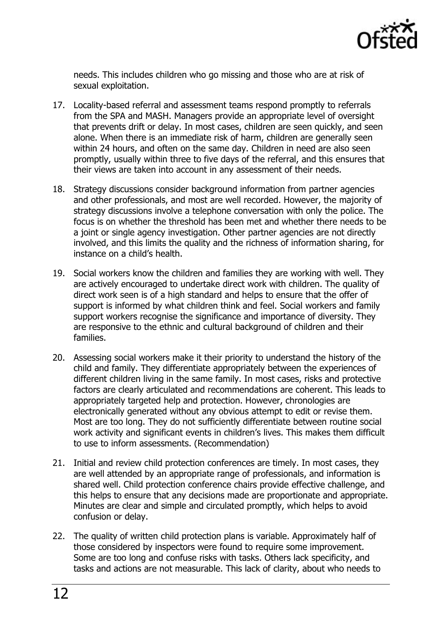

needs. This includes children who go missing and those who are at risk of sexual exploitation.

- 17. Locality-based referral and assessment teams respond promptly to referrals from the SPA and MASH. Managers provide an appropriate level of oversight that prevents drift or delay. In most cases, children are seen quickly, and seen alone. When there is an immediate risk of harm, children are generally seen within 24 hours, and often on the same day. Children in need are also seen promptly, usually within three to five days of the referral, and this ensures that their views are taken into account in any assessment of their needs.
- 18. Strategy discussions consider background information from partner agencies and other professionals, and most are well recorded. However, the majority of strategy discussions involve a telephone conversation with only the police. The focus is on whether the threshold has been met and whether there needs to be a joint or single agency investigation. Other partner agencies are not directly involved, and this limits the quality and the richness of information sharing, for instance on a child's health.
- 19. Social workers know the children and families they are working with well. They are actively encouraged to undertake direct work with children. The quality of direct work seen is of a high standard and helps to ensure that the offer of support is informed by what children think and feel. Social workers and family support workers recognise the significance and importance of diversity. They are responsive to the ethnic and cultural background of children and their families.
- 20. Assessing social workers make it their priority to understand the history of the child and family. They differentiate appropriately between the experiences of different children living in the same family. In most cases, risks and protective factors are clearly articulated and recommendations are coherent. This leads to appropriately targeted help and protection. However, chronologies are electronically generated without any obvious attempt to edit or revise them. Most are too long. They do not sufficiently differentiate between routine social work activity and significant events in children's lives. This makes them difficult to use to inform assessments. (Recommendation)
- 21. Initial and review child protection conferences are timely. In most cases, they are well attended by an appropriate range of professionals, and information is shared well. Child protection conference chairs provide effective challenge, and this helps to ensure that any decisions made are proportionate and appropriate. Minutes are clear and simple and circulated promptly, which helps to avoid confusion or delay.
- 22. The quality of written child protection plans is variable. Approximately half of those considered by inspectors were found to require some improvement. Some are too long and confuse risks with tasks. Others lack specificity, and tasks and actions are not measurable. This lack of clarity, about who needs to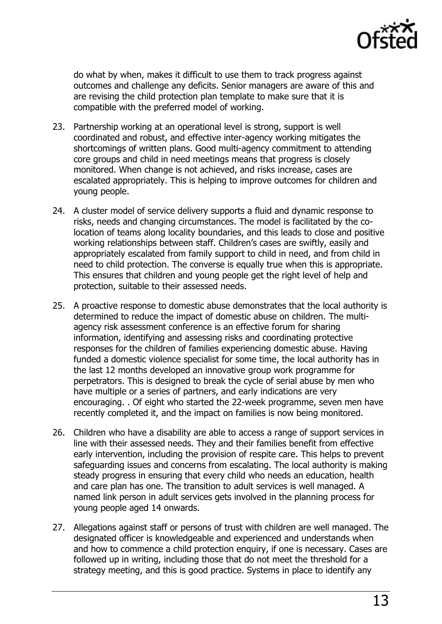

do what by when, makes it difficult to use them to track progress against outcomes and challenge any deficits. Senior managers are aware of this and are revising the child protection plan template to make sure that it is compatible with the preferred model of working.

- 23. Partnership working at an operational level is strong, support is well coordinated and robust, and effective inter-agency working mitigates the shortcomings of written plans. Good multi-agency commitment to attending core groups and child in need meetings means that progress is closely monitored. When change is not achieved, and risks increase, cases are escalated appropriately. This is helping to improve outcomes for children and young people.
- 24. A cluster model of service delivery supports a fluid and dynamic response to risks, needs and changing circumstances. The model is facilitated by the colocation of teams along locality boundaries, and this leads to close and positive working relationships between staff. Children's cases are swiftly, easily and appropriately escalated from family support to child in need, and from child in need to child protection. The converse is equally true when this is appropriate. This ensures that children and young people get the right level of help and protection, suitable to their assessed needs.
- 25. A proactive response to domestic abuse demonstrates that the local authority is determined to reduce the impact of domestic abuse on children. The multiagency risk assessment conference is an effective forum for sharing information, identifying and assessing risks and coordinating protective responses for the children of families experiencing domestic abuse. Having funded a domestic violence specialist for some time, the local authority has in the last 12 months developed an innovative group work programme for perpetrators. This is designed to break the cycle of serial abuse by men who have multiple or a series of partners, and early indications are very encouraging. . Of eight who started the 22-week programme, seven men have recently completed it, and the impact on families is now being monitored.
- 26. Children who have a disability are able to access a range of support services in line with their assessed needs. They and their families benefit from effective early intervention, including the provision of respite care. This helps to prevent safeguarding issues and concerns from escalating. The local authority is making steady progress in ensuring that every child who needs an education, health and care plan has one. The transition to adult services is well managed. A named link person in adult services gets involved in the planning process for young people aged 14 onwards.
- 27. Allegations against staff or persons of trust with children are well managed. The designated officer is knowledgeable and experienced and understands when and how to commence a child protection enquiry, if one is necessary. Cases are followed up in writing, including those that do not meet the threshold for a strategy meeting, and this is good practice. Systems in place to identify any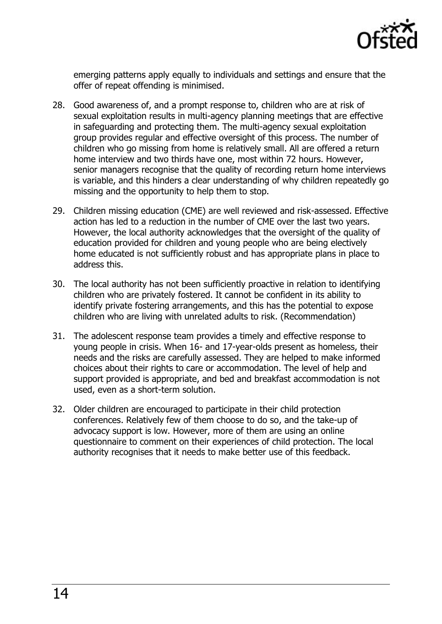

emerging patterns apply equally to individuals and settings and ensure that the offer of repeat offending is minimised.

- 28. Good awareness of, and a prompt response to, children who are at risk of sexual exploitation results in multi-agency planning meetings that are effective in safeguarding and protecting them. The multi-agency sexual exploitation group provides regular and effective oversight of this process. The number of children who go missing from home is relatively small. All are offered a return home interview and two thirds have one, most within 72 hours. However, senior managers recognise that the quality of recording return home interviews is variable, and this hinders a clear understanding of why children repeatedly go missing and the opportunity to help them to stop.
- 29. Children missing education (CME) are well reviewed and risk-assessed. Effective action has led to a reduction in the number of CME over the last two years. However, the local authority acknowledges that the oversight of the quality of education provided for children and young people who are being electively home educated is not sufficiently robust and has appropriate plans in place to address this.
- 30. The local authority has not been sufficiently proactive in relation to identifying children who are privately fostered. It cannot be confident in its ability to identify private fostering arrangements, and this has the potential to expose children who are living with unrelated adults to risk. (Recommendation)
- 31. The adolescent response team provides a timely and effective response to young people in crisis. When 16- and 17-year-olds present as homeless, their needs and the risks are carefully assessed. They are helped to make informed choices about their rights to care or accommodation. The level of help and support provided is appropriate, and bed and breakfast accommodation is not used, even as a short-term solution.
- 32. Older children are encouraged to participate in their child protection conferences. Relatively few of them choose to do so, and the take-up of advocacy support is low. However, more of them are using an online questionnaire to comment on their experiences of child protection. The local authority recognises that it needs to make better use of this feedback.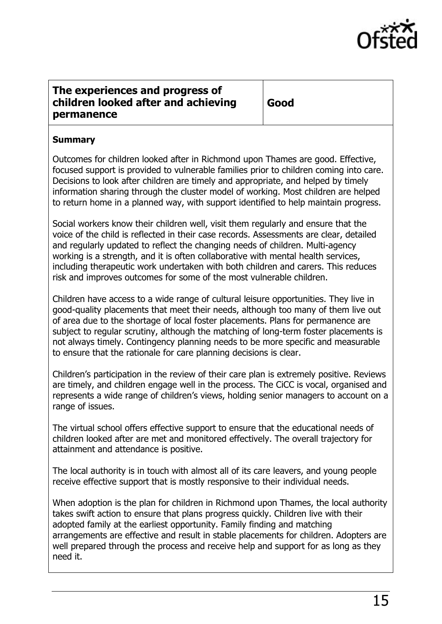

### <span id="page-14-0"></span>**The experiences and progress of children looked after and achieving permanence**

**Good** 

#### **Summary**

Outcomes for children looked after in Richmond upon Thames are good. Effective, focused support is provided to vulnerable families prior to children coming into care. Decisions to look after children are timely and appropriate, and helped by timely information sharing through the cluster model of working. Most children are helped to return home in a planned way, with support identified to help maintain progress.

Social workers know their children well, visit them regularly and ensure that the voice of the child is reflected in their case records. Assessments are clear, detailed and regularly updated to reflect the changing needs of children. Multi-agency working is a strength, and it is often collaborative with mental health services, including therapeutic work undertaken with both children and carers. This reduces risk and improves outcomes for some of the most vulnerable children.

Children have access to a wide range of cultural leisure opportunities. They live in good-quality placements that meet their needs, although too many of them live out of area due to the shortage of local foster placements. Plans for permanence are subject to regular scrutiny, although the matching of long-term foster placements is not always timely. Contingency planning needs to be more specific and measurable to ensure that the rationale for care planning decisions is clear.

Children's participation in the review of their care plan is extremely positive. Reviews are timely, and children engage well in the process. The CiCC is vocal, organised and represents a wide range of children's views, holding senior managers to account on a range of issues.

The virtual school offers effective support to ensure that the educational needs of children looked after are met and monitored effectively. The overall trajectory for attainment and attendance is positive.

The local authority is in touch with almost all of its care leavers, and young people receive effective support that is mostly responsive to their individual needs.

When adoption is the plan for children in Richmond upon Thames, the local authority takes swift action to ensure that plans progress quickly. Children live with their adopted family at the earliest opportunity. Family finding and matching arrangements are effective and result in stable placements for children. Adopters are well prepared through the process and receive help and support for as long as they need it.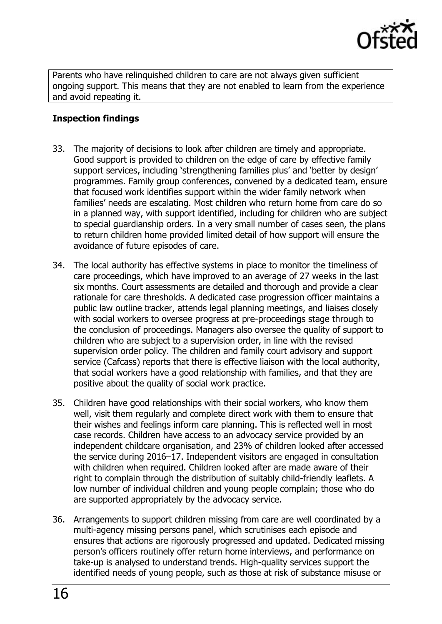

Parents who have relinquished children to care are not always given sufficient ongoing support. This means that they are not enabled to learn from the experience and avoid repeating it.

#### **Inspection findings**

- 33. The majority of decisions to look after children are timely and appropriate. Good support is provided to children on the edge of care by effective family support services, including 'strengthening families plus' and 'better by design' programmes. Family group conferences, convened by a dedicated team, ensure that focused work identifies support within the wider family network when families' needs are escalating. Most children who return home from care do so in a planned way, with support identified, including for children who are subject to special guardianship orders. In a very small number of cases seen, the plans to return children home provided limited detail of how support will ensure the avoidance of future episodes of care.
- 34. The local authority has effective systems in place to monitor the timeliness of care proceedings, which have improved to an average of 27 weeks in the last six months. Court assessments are detailed and thorough and provide a clear rationale for care thresholds. A dedicated case progression officer maintains a public law outline tracker, attends legal planning meetings, and liaises closely with social workers to oversee progress at pre-proceedings stage through to the conclusion of proceedings. Managers also oversee the quality of support to children who are subject to a supervision order, in line with the revised supervision order policy. The children and family court advisory and support service (Cafcass) reports that there is effective liaison with the local authority, that social workers have a good relationship with families, and that they are positive about the quality of social work practice.
- 35. Children have good relationships with their social workers, who know them well, visit them regularly and complete direct work with them to ensure that their wishes and feelings inform care planning. This is reflected well in most case records. Children have access to an advocacy service provided by an independent childcare organisation, and 23% of children looked after accessed the service during 2016–17. Independent visitors are engaged in consultation with children when required. Children looked after are made aware of their right to complain through the distribution of suitably child-friendly leaflets. A low number of individual children and young people complain; those who do are supported appropriately by the advocacy service.
- 36. Arrangements to support children missing from care are well coordinated by a multi-agency missing persons panel, which scrutinises each episode and ensures that actions are rigorously progressed and updated. Dedicated missing person's officers routinely offer return home interviews, and performance on take-up is analysed to understand trends. High-quality services support the identified needs of young people, such as those at risk of substance misuse or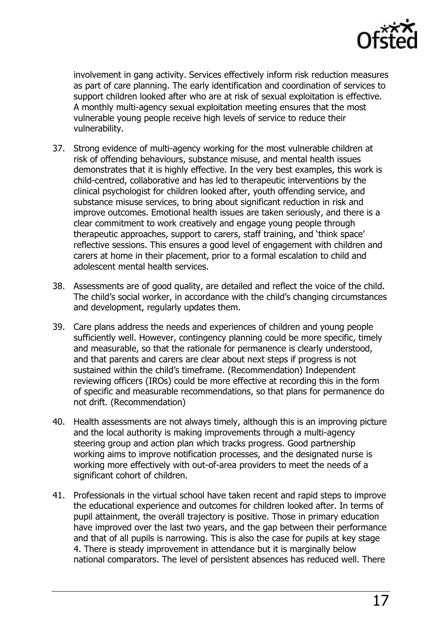

involvement in gang activity. Services effectively inform risk reduction measures as part of care planning. The early identification and coordination of services to support children looked after who are at risk of sexual exploitation is effective. A monthly multi-agency sexual exploitation meeting ensures that the most vulnerable young people receive high levels of service to reduce their vulnerability.

- 37. Strong evidence of multi-agency working for the most vulnerable children at risk of offending behaviours, substance misuse, and mental health issues demonstrates that it is highly effective. In the very best examples, this work is child-centred, collaborative and has led to therapeutic interventions by the clinical psychologist for children looked after, youth offending service, and substance misuse services, to bring about significant reduction in risk and improve outcomes. Emotional health issues are taken seriously, and there is a clear commitment to work creatively and engage young people through therapeutic approaches, support to carers, staff training, and 'think space' reflective sessions. This ensures a good level of engagement with children and carers at home in their placement, prior to a formal escalation to child and adolescent mental health services.
- 38. Assessments are of good quality, are detailed and reflect the voice of the child. The child's social worker, in accordance with the child's changing circumstances and development, regularly updates them.
- 39. Care plans address the needs and experiences of children and young people sufficiently well. However, contingency planning could be more specific, timely and measurable, so that the rationale for permanence is clearly understood, and that parents and carers are clear about next steps if progress is not sustained within the child's timeframe. (Recommendation) Independent reviewing officers (IROs) could be more effective at recording this in the form of specific and measurable recommendations, so that plans for permanence do not drift. (Recommendation)
- 40. Health assessments are not always timely, although this is an improving picture and the local authority is making improvements through a multi-agency steering group and action plan which tracks progress. Good partnership working aims to improve notification processes, and the designated nurse is working more effectively with out-of-area providers to meet the needs of a significant cohort of children.
- 41. Professionals in the virtual school have taken recent and rapid steps to improve the educational experience and outcomes for children looked after. In terms of pupil attainment, the overall trajectory is positive. Those in primary education have improved over the last two years, and the gap between their performance and that of all pupils is narrowing. This is also the case for pupils at key stage 4. There is steady improvement in attendance but it is marginally below national comparators. The level of persistent absences has reduced well. There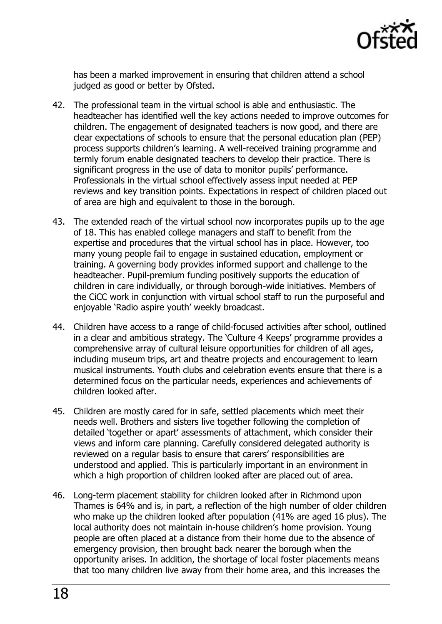

has been a marked improvement in ensuring that children attend a school judged as good or better by Ofsted.

- 42. The professional team in the virtual school is able and enthusiastic. The headteacher has identified well the key actions needed to improve outcomes for children. The engagement of designated teachers is now good, and there are clear expectations of schools to ensure that the personal education plan (PEP) process supports children's learning. A well-received training programme and termly forum enable designated teachers to develop their practice. There is significant progress in the use of data to monitor pupils' performance. Professionals in the virtual school effectively assess input needed at PEP reviews and key transition points. Expectations in respect of children placed out of area are high and equivalent to those in the borough.
- 43. The extended reach of the virtual school now incorporates pupils up to the age of 18. This has enabled college managers and staff to benefit from the expertise and procedures that the virtual school has in place. However, too many young people fail to engage in sustained education, employment or training. A governing body provides informed support and challenge to the headteacher. Pupil-premium funding positively supports the education of children in care individually, or through borough-wide initiatives. Members of the CiCC work in conjunction with virtual school staff to run the purposeful and enjoyable 'Radio aspire youth' weekly broadcast.
- 44. Children have access to a range of child-focused activities after school, outlined in a clear and ambitious strategy. The 'Culture 4 Keeps' programme provides a comprehensive array of cultural leisure opportunities for children of all ages, including museum trips, art and theatre projects and encouragement to learn musical instruments. Youth clubs and celebration events ensure that there is a determined focus on the particular needs, experiences and achievements of children looked after.
- 45. Children are mostly cared for in safe, settled placements which meet their needs well. Brothers and sisters live together following the completion of detailed 'together or apart' assessments of attachment, which consider their views and inform care planning. Carefully considered delegated authority is reviewed on a regular basis to ensure that carers' responsibilities are understood and applied. This is particularly important in an environment in which a high proportion of children looked after are placed out of area.
- 46. Long-term placement stability for children looked after in Richmond upon Thames is 64% and is, in part, a reflection of the high number of older children who make up the children looked after population (41% are aged 16 plus). The local authority does not maintain in-house children's home provision. Young people are often placed at a distance from their home due to the absence of emergency provision, then brought back nearer the borough when the opportunity arises. In addition, the shortage of local foster placements means that too many children live away from their home area, and this increases the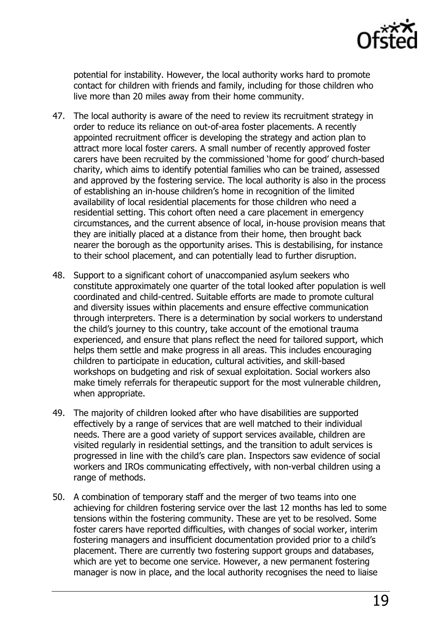

potential for instability. However, the local authority works hard to promote contact for children with friends and family, including for those children who live more than 20 miles away from their home community.

- 47. The local authority is aware of the need to review its recruitment strategy in order to reduce its reliance on out-of-area foster placements. A recently appointed recruitment officer is developing the strategy and action plan to attract more local foster carers. A small number of recently approved foster carers have been recruited by the commissioned 'home for good' church-based charity, which aims to identify potential families who can be trained, assessed and approved by the fostering service. The local authority is also in the process of establishing an in-house children's home in recognition of the limited availability of local residential placements for those children who need a residential setting. This cohort often need a care placement in emergency circumstances, and the current absence of local, in-house provision means that they are initially placed at a distance from their home, then brought back nearer the borough as the opportunity arises. This is destabilising, for instance to their school placement, and can potentially lead to further disruption.
- 48. Support to a significant cohort of unaccompanied asylum seekers who constitute approximately one quarter of the total looked after population is well coordinated and child-centred. Suitable efforts are made to promote cultural and diversity issues within placements and ensure effective communication through interpreters. There is a determination by social workers to understand the child's journey to this country, take account of the emotional trauma experienced, and ensure that plans reflect the need for tailored support, which helps them settle and make progress in all areas. This includes encouraging children to participate in education, cultural activities, and skill-based workshops on budgeting and risk of sexual exploitation. Social workers also make timely referrals for therapeutic support for the most vulnerable children, when appropriate.
- 49. The majority of children looked after who have disabilities are supported effectively by a range of services that are well matched to their individual needs. There are a good variety of support services available, children are visited regularly in residential settings, and the transition to adult services is progressed in line with the child's care plan. Inspectors saw evidence of social workers and IROs communicating effectively, with non-verbal children using a range of methods.
- 50. A combination of temporary staff and the merger of two teams into one achieving for children fostering service over the last 12 months has led to some tensions within the fostering community. These are yet to be resolved. Some foster carers have reported difficulties, with changes of social worker, interim fostering managers and insufficient documentation provided prior to a child's placement. There are currently two fostering support groups and databases, which are yet to become one service. However, a new permanent fostering manager is now in place, and the local authority recognises the need to liaise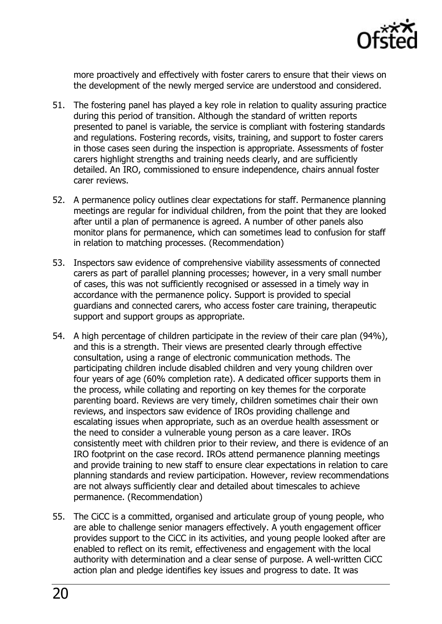

more proactively and effectively with foster carers to ensure that their views on the development of the newly merged service are understood and considered.

- 51. The fostering panel has played a key role in relation to quality assuring practice during this period of transition. Although the standard of written reports presented to panel is variable, the service is compliant with fostering standards and regulations. Fostering records, visits, training, and support to foster carers in those cases seen during the inspection is appropriate. Assessments of foster carers highlight strengths and training needs clearly, and are sufficiently detailed. An IRO, commissioned to ensure independence, chairs annual foster carer reviews.
- 52. A permanence policy outlines clear expectations for staff. Permanence planning meetings are regular for individual children, from the point that they are looked after until a plan of permanence is agreed. A number of other panels also monitor plans for permanence, which can sometimes lead to confusion for staff in relation to matching processes. (Recommendation)
- 53. Inspectors saw evidence of comprehensive viability assessments of connected carers as part of parallel planning processes; however, in a very small number of cases, this was not sufficiently recognised or assessed in a timely way in accordance with the permanence policy. Support is provided to special guardians and connected carers, who access foster care training, therapeutic support and support groups as appropriate.
- 54. A high percentage of children participate in the review of their care plan (94%), and this is a strength. Their views are presented clearly through effective consultation, using a range of electronic communication methods. The participating children include disabled children and very young children over four years of age (60% completion rate). A dedicated officer supports them in the process, while collating and reporting on key themes for the corporate parenting board. Reviews are very timely, children sometimes chair their own reviews, and inspectors saw evidence of IROs providing challenge and escalating issues when appropriate, such as an overdue health assessment or the need to consider a vulnerable young person as a care leaver. IROs consistently meet with children prior to their review, and there is evidence of an IRO footprint on the case record. IROs attend permanence planning meetings and provide training to new staff to ensure clear expectations in relation to care planning standards and review participation. However, review recommendations are not always sufficiently clear and detailed about timescales to achieve permanence. (Recommendation)
- 55. The CiCC is a committed, organised and articulate group of young people, who are able to challenge senior managers effectively. A youth engagement officer provides support to the CiCC in its activities, and young people looked after are enabled to reflect on its remit, effectiveness and engagement with the local authority with determination and a clear sense of purpose. A well-written CiCC action plan and pledge identifies key issues and progress to date. It was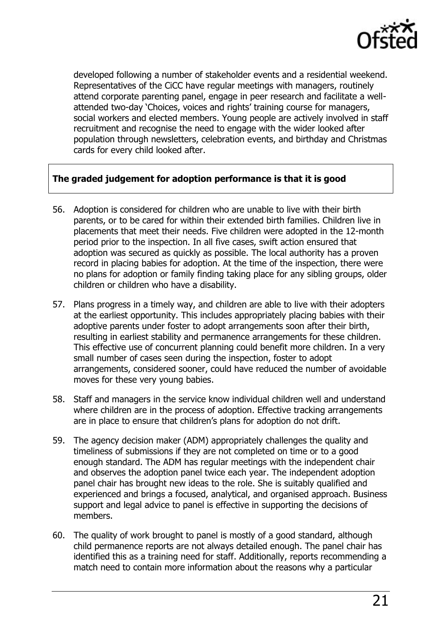

developed following a number of stakeholder events and a residential weekend. Representatives of the CiCC have regular meetings with managers, routinely attend corporate parenting panel, engage in peer research and facilitate a wellattended two-day 'Choices, voices and rights' training course for managers, social workers and elected members. Young people are actively involved in staff recruitment and recognise the need to engage with the wider looked after population through newsletters, celebration events, and birthday and Christmas cards for every child looked after.

#### **The graded judgement for adoption performance is that it is good**

- 56. Adoption is considered for children who are unable to live with their birth parents, or to be cared for within their extended birth families. Children live in placements that meet their needs. Five children were adopted in the 12-month period prior to the inspection. In all five cases, swift action ensured that adoption was secured as quickly as possible. The local authority has a proven record in placing babies for adoption. At the time of the inspection, there were no plans for adoption or family finding taking place for any sibling groups, older children or children who have a disability.
- 57. Plans progress in a timely way, and children are able to live with their adopters at the earliest opportunity. This includes appropriately placing babies with their adoptive parents under foster to adopt arrangements soon after their birth, resulting in earliest stability and permanence arrangements for these children. This effective use of concurrent planning could benefit more children. In a very small number of cases seen during the inspection, foster to adopt arrangements, considered sooner, could have reduced the number of avoidable moves for these very young babies.
- 58. Staff and managers in the service know individual children well and understand where children are in the process of adoption. Effective tracking arrangements are in place to ensure that children's plans for adoption do not drift.
- 59. The agency decision maker (ADM) appropriately challenges the quality and timeliness of submissions if they are not completed on time or to a good enough standard. The ADM has regular meetings with the independent chair and observes the adoption panel twice each year. The independent adoption panel chair has brought new ideas to the role. She is suitably qualified and experienced and brings a focused, analytical, and organised approach. Business support and legal advice to panel is effective in supporting the decisions of members.
- 60. The quality of work brought to panel is mostly of a good standard, although child permanence reports are not always detailed enough. The panel chair has identified this as a training need for staff. Additionally, reports recommending a match need to contain more information about the reasons why a particular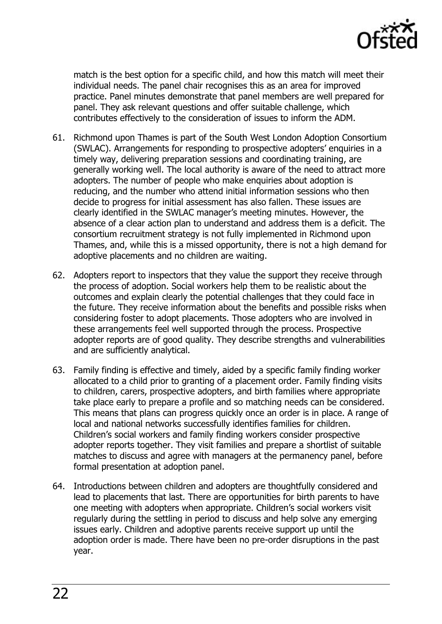

match is the best option for a specific child, and how this match will meet their individual needs. The panel chair recognises this as an area for improved practice. Panel minutes demonstrate that panel members are well prepared for panel. They ask relevant questions and offer suitable challenge, which contributes effectively to the consideration of issues to inform the ADM.

- 61. Richmond upon Thames is part of the South West London Adoption Consortium (SWLAC). Arrangements for responding to prospective adopters' enquiries in a timely way, delivering preparation sessions and coordinating training, are generally working well. The local authority is aware of the need to attract more adopters. The number of people who make enquiries about adoption is reducing, and the number who attend initial information sessions who then decide to progress for initial assessment has also fallen. These issues are clearly identified in the SWLAC manager's meeting minutes. However, the absence of a clear action plan to understand and address them is a deficit. The consortium recruitment strategy is not fully implemented in Richmond upon Thames, and, while this is a missed opportunity, there is not a high demand for adoptive placements and no children are waiting.
- 62. Adopters report to inspectors that they value the support they receive through the process of adoption. Social workers help them to be realistic about the outcomes and explain clearly the potential challenges that they could face in the future. They receive information about the benefits and possible risks when considering foster to adopt placements. Those adopters who are involved in these arrangements feel well supported through the process. Prospective adopter reports are of good quality. They describe strengths and vulnerabilities and are sufficiently analytical.
- 63. Family finding is effective and timely, aided by a specific family finding worker allocated to a child prior to granting of a placement order. Family finding visits to children, carers, prospective adopters, and birth families where appropriate take place early to prepare a profile and so matching needs can be considered. This means that plans can progress quickly once an order is in place. A range of local and national networks successfully identifies families for children. Children's social workers and family finding workers consider prospective adopter reports together. They visit families and prepare a shortlist of suitable matches to discuss and agree with managers at the permanency panel, before formal presentation at adoption panel.
- 64. Introductions between children and adopters are thoughtfully considered and lead to placements that last. There are opportunities for birth parents to have one meeting with adopters when appropriate. Children's social workers visit regularly during the settling in period to discuss and help solve any emerging issues early. Children and adoptive parents receive support up until the adoption order is made. There have been no pre-order disruptions in the past year.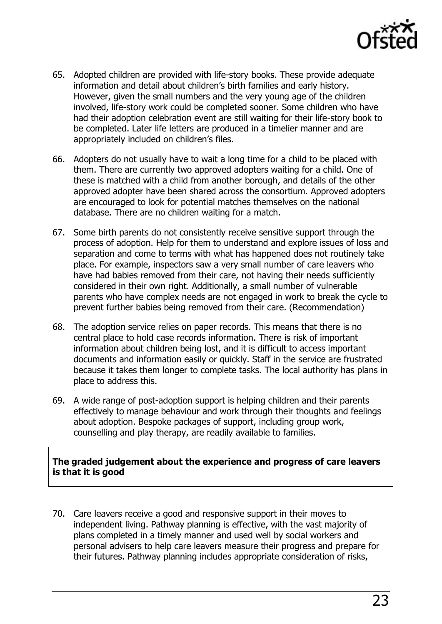

- 65. Adopted children are provided with life-story books. These provide adequate information and detail about children's birth families and early history. However, given the small numbers and the very young age of the children involved, life-story work could be completed sooner. Some children who have had their adoption celebration event are still waiting for their life-story book to be completed. Later life letters are produced in a timelier manner and are appropriately included on children's files.
- 66. Adopters do not usually have to wait a long time for a child to be placed with them. There are currently two approved adopters waiting for a child. One of these is matched with a child from another borough, and details of the other approved adopter have been shared across the consortium. Approved adopters are encouraged to look for potential matches themselves on the national database. There are no children waiting for a match.
- 67. Some birth parents do not consistently receive sensitive support through the process of adoption. Help for them to understand and explore issues of loss and separation and come to terms with what has happened does not routinely take place. For example, inspectors saw a very small number of care leavers who have had babies removed from their care, not having their needs sufficiently considered in their own right. Additionally, a small number of vulnerable parents who have complex needs are not engaged in work to break the cycle to prevent further babies being removed from their care. (Recommendation)
- 68. The adoption service relies on paper records. This means that there is no central place to hold case records information. There is risk of important information about children being lost, and it is difficult to access important documents and information easily or quickly. Staff in the service are frustrated because it takes them longer to complete tasks. The local authority has plans in place to address this.
- 69. A wide range of post-adoption support is helping children and their parents effectively to manage behaviour and work through their thoughts and feelings about adoption. Bespoke packages of support, including group work, counselling and play therapy, are readily available to families.

**The graded judgement about the experience and progress of care leavers is that it is good** 

70. Care leavers receive a good and responsive support in their moves to independent living. Pathway planning is effective, with the vast majority of plans completed in a timely manner and used well by social workers and personal advisers to help care leavers measure their progress and prepare for their futures. Pathway planning includes appropriate consideration of risks,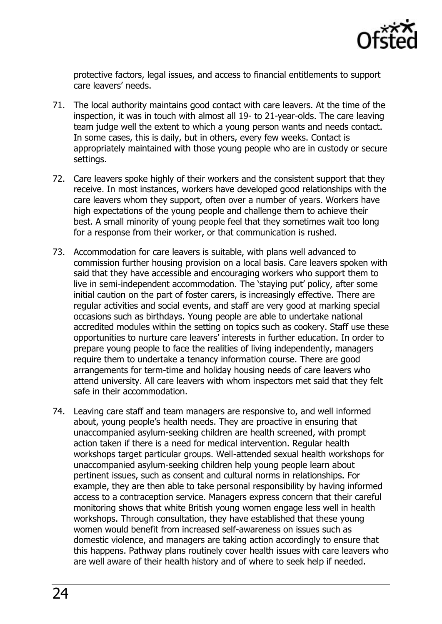

protective factors, legal issues, and access to financial entitlements to support care leavers' needs.

- 71. The local authority maintains good contact with care leavers. At the time of the inspection, it was in touch with almost all 19- to 21-year-olds. The care leaving team judge well the extent to which a young person wants and needs contact. In some cases, this is daily, but in others, every few weeks. Contact is appropriately maintained with those young people who are in custody or secure settings.
- 72. Care leavers spoke highly of their workers and the consistent support that they receive. In most instances, workers have developed good relationships with the care leavers whom they support, often over a number of years. Workers have high expectations of the young people and challenge them to achieve their best. A small minority of young people feel that they sometimes wait too long for a response from their worker, or that communication is rushed.
- 73. Accommodation for care leavers is suitable, with plans well advanced to commission further housing provision on a local basis. Care leavers spoken with said that they have accessible and encouraging workers who support them to live in semi-independent accommodation. The 'staying put' policy, after some initial caution on the part of foster carers, is increasingly effective. There are regular activities and social events, and staff are very good at marking special occasions such as birthdays. Young people are able to undertake national accredited modules within the setting on topics such as cookery. Staff use these opportunities to nurture care leavers' interests in further education. In order to prepare young people to face the realities of living independently, managers require them to undertake a tenancy information course. There are good arrangements for term-time and holiday housing needs of care leavers who attend university. All care leavers with whom inspectors met said that they felt safe in their accommodation.
- 74. Leaving care staff and team managers are responsive to, and well informed about, young people's health needs. They are proactive in ensuring that unaccompanied asylum-seeking children are health screened, with prompt action taken if there is a need for medical intervention. Regular health workshops target particular groups. Well-attended sexual health workshops for unaccompanied asylum-seeking children help young people learn about pertinent issues, such as consent and cultural norms in relationships. For example, they are then able to take personal responsibility by having informed access to a contraception service. Managers express concern that their careful monitoring shows that white British young women engage less well in health workshops. Through consultation, they have established that these young women would benefit from increased self-awareness on issues such as domestic violence, and managers are taking action accordingly to ensure that this happens. Pathway plans routinely cover health issues with care leavers who are well aware of their health history and of where to seek help if needed.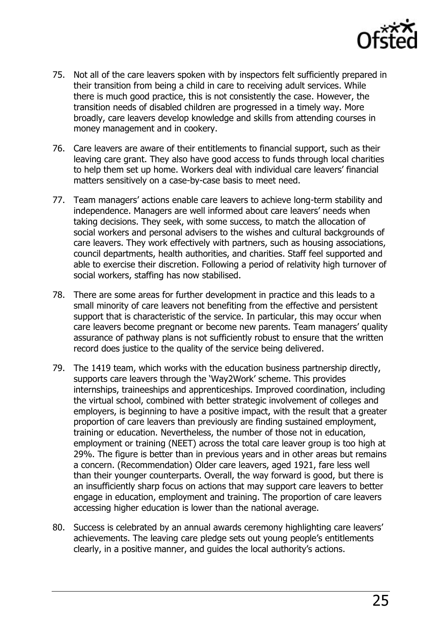

- 75. Not all of the care leavers spoken with by inspectors felt sufficiently prepared in their transition from being a child in care to receiving adult services. While there is much good practice, this is not consistently the case. However, the transition needs of disabled children are progressed in a timely way. More broadly, care leavers develop knowledge and skills from attending courses in money management and in cookery.
- 76. Care leavers are aware of their entitlements to financial support, such as their leaving care grant. They also have good access to funds through local charities to help them set up home. Workers deal with individual care leavers' financial matters sensitively on a case-by-case basis to meet need.
- 77. Team managers' actions enable care leavers to achieve long-term stability and independence. Managers are well informed about care leavers' needs when taking decisions. They seek, with some success, to match the allocation of social workers and personal advisers to the wishes and cultural backgrounds of care leavers. They work effectively with partners, such as housing associations, council departments, health authorities, and charities. Staff feel supported and able to exercise their discretion. Following a period of relativity high turnover of social workers, staffing has now stabilised.
- 78. There are some areas for further development in practice and this leads to a small minority of care leavers not benefiting from the effective and persistent support that is characteristic of the service. In particular, this may occur when care leavers become pregnant or become new parents. Team managers' quality assurance of pathway plans is not sufficiently robust to ensure that the written record does justice to the quality of the service being delivered.
- 79. The 1419 team, which works with the education business partnership directly, supports care leavers through the 'Way2Work' scheme. This provides internships, traineeships and apprenticeships. Improved coordination, including the virtual school, combined with better strategic involvement of colleges and employers, is beginning to have a positive impact, with the result that a greater proportion of care leavers than previously are finding sustained employment, training or education. Nevertheless, the number of those not in education, employment or training (NEET) across the total care leaver group is too high at 29%. The figure is better than in previous years and in other areas but remains a concern. (Recommendation) Older care leavers, aged 1921, fare less well than their younger counterparts. Overall, the way forward is good, but there is an insufficiently sharp focus on actions that may support care leavers to better engage in education, employment and training. The proportion of care leavers accessing higher education is lower than the national average.
- 80. Success is celebrated by an annual awards ceremony highlighting care leavers' achievements. The leaving care pledge sets out young people's entitlements clearly, in a positive manner, and guides the local authority's actions.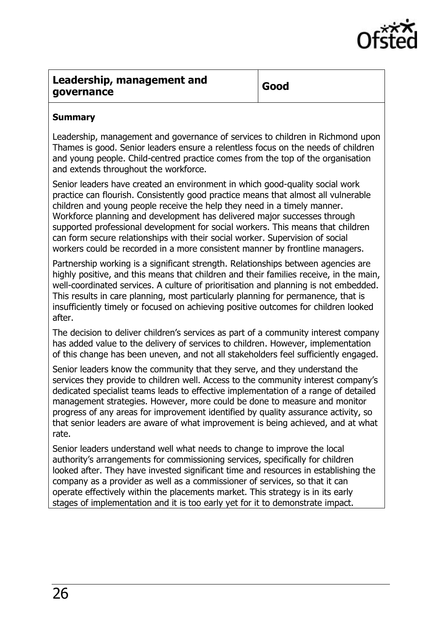

### <span id="page-25-0"></span>**Leadership, management and governance Good**

#### **Summary**

Leadership, management and governance of services to children in Richmond upon Thames is good. Senior leaders ensure a relentless focus on the needs of children and young people. Child-centred practice comes from the top of the organisation and extends throughout the workforce.

Senior leaders have created an environment in which good-quality social work practice can flourish. Consistently good practice means that almost all vulnerable children and young people receive the help they need in a timely manner. Workforce planning and development has delivered major successes through supported professional development for social workers. This means that children can form secure relationships with their social worker. Supervision of social workers could be recorded in a more consistent manner by frontline managers.

Partnership working is a significant strength. Relationships between agencies are highly positive, and this means that children and their families receive, in the main, well-coordinated services. A culture of prioritisation and planning is not embedded. This results in care planning, most particularly planning for permanence, that is insufficiently timely or focused on achieving positive outcomes for children looked after.

The decision to deliver children's services as part of a community interest company has added value to the delivery of services to children. However, implementation of this change has been uneven, and not all stakeholders feel sufficiently engaged.

Senior leaders know the community that they serve, and they understand the services they provide to children well. Access to the community interest company's dedicated specialist teams leads to effective implementation of a range of detailed management strategies. However, more could be done to measure and monitor progress of any areas for improvement identified by quality assurance activity, so that senior leaders are aware of what improvement is being achieved, and at what rate.

Senior leaders understand well what needs to change to improve the local authority's arrangements for commissioning services, specifically for children looked after. They have invested significant time and resources in establishing the company as a provider as well as a commissioner of services, so that it can operate effectively within the placements market. This strategy is in its early stages of implementation and it is too early yet for it to demonstrate impact.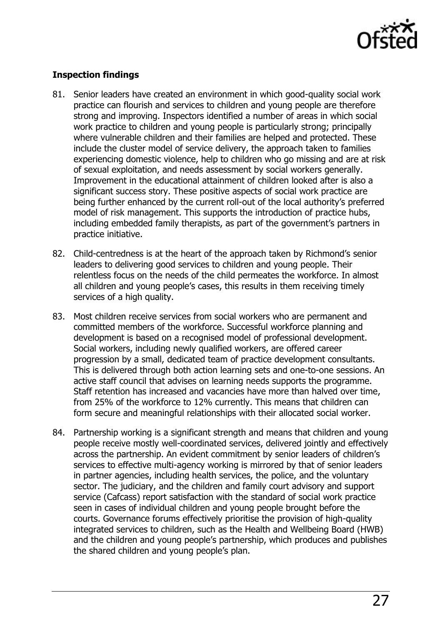

#### **Inspection findings**

- 81. Senior leaders have created an environment in which good-quality social work practice can flourish and services to children and young people are therefore strong and improving. Inspectors identified a number of areas in which social work practice to children and young people is particularly strong; principally where vulnerable children and their families are helped and protected. These include the cluster model of service delivery, the approach taken to families experiencing domestic violence, help to children who go missing and are at risk of sexual exploitation, and needs assessment by social workers generally. Improvement in the educational attainment of children looked after is also a significant success story. These positive aspects of social work practice are being further enhanced by the current roll-out of the local authority's preferred model of risk management. This supports the introduction of practice hubs, including embedded family therapists, as part of the government's partners in practice initiative.
- 82. Child-centredness is at the heart of the approach taken by Richmond's senior leaders to delivering good services to children and young people. Their relentless focus on the needs of the child permeates the workforce. In almost all children and young people's cases, this results in them receiving timely services of a high quality.
- 83. Most children receive services from social workers who are permanent and committed members of the workforce. Successful workforce planning and development is based on a recognised model of professional development. Social workers, including newly qualified workers, are offered career progression by a small, dedicated team of practice development consultants. This is delivered through both action learning sets and one-to-one sessions. An active staff council that advises on learning needs supports the programme. Staff retention has increased and vacancies have more than halved over time, from 25% of the workforce to 12% currently. This means that children can form secure and meaningful relationships with their allocated social worker.
- 84. Partnership working is a significant strength and means that children and young people receive mostly well-coordinated services, delivered jointly and effectively across the partnership. An evident commitment by senior leaders of children's services to effective multi-agency working is mirrored by that of senior leaders in partner agencies, including health services, the police, and the voluntary sector. The judiciary, and the children and family court advisory and support service (Cafcass) report satisfaction with the standard of social work practice seen in cases of individual children and young people brought before the courts. Governance forums effectively prioritise the provision of high-quality integrated services to children, such as the Health and Wellbeing Board (HWB) and the children and young people's partnership, which produces and publishes the shared children and young people's plan.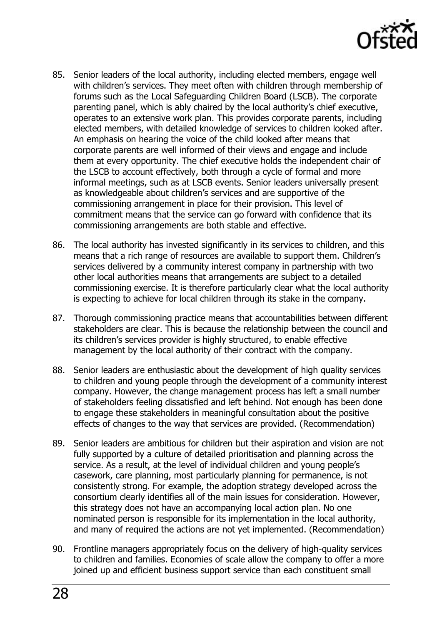

- 85. Senior leaders of the local authority, including elected members, engage well with children's services. They meet often with children through membership of forums such as the Local Safeguarding Children Board (LSCB). The corporate parenting panel, which is ably chaired by the local authority's chief executive, operates to an extensive work plan. This provides corporate parents, including elected members, with detailed knowledge of services to children looked after. An emphasis on hearing the voice of the child looked after means that corporate parents are well informed of their views and engage and include them at every opportunity. The chief executive holds the independent chair of the LSCB to account effectively, both through a cycle of formal and more informal meetings, such as at LSCB events. Senior leaders universally present as knowledgeable about children's services and are supportive of the commissioning arrangement in place for their provision. This level of commitment means that the service can go forward with confidence that its commissioning arrangements are both stable and effective.
- 86. The local authority has invested significantly in its services to children, and this means that a rich range of resources are available to support them. Children's services delivered by a community interest company in partnership with two other local authorities means that arrangements are subject to a detailed commissioning exercise. It is therefore particularly clear what the local authority is expecting to achieve for local children through its stake in the company.
- 87. Thorough commissioning practice means that accountabilities between different stakeholders are clear. This is because the relationship between the council and its children's services provider is highly structured, to enable effective management by the local authority of their contract with the company.
- 88. Senior leaders are enthusiastic about the development of high quality services to children and young people through the development of a community interest company. However, the change management process has left a small number of stakeholders feeling dissatisfied and left behind. Not enough has been done to engage these stakeholders in meaningful consultation about the positive effects of changes to the way that services are provided. (Recommendation)
- 89. Senior leaders are ambitious for children but their aspiration and vision are not fully supported by a culture of detailed prioritisation and planning across the service. As a result, at the level of individual children and young people's casework, care planning, most particularly planning for permanence, is not consistently strong. For example, the adoption strategy developed across the consortium clearly identifies all of the main issues for consideration. However, this strategy does not have an accompanying local action plan. No one nominated person is responsible for its implementation in the local authority, and many of required the actions are not yet implemented. (Recommendation)
- 90. Frontline managers appropriately focus on the delivery of high-quality services to children and families. Economies of scale allow the company to offer a more joined up and efficient business support service than each constituent small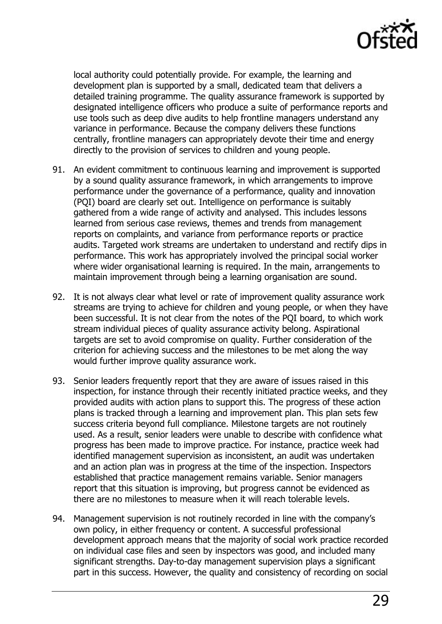

local authority could potentially provide. For example, the learning and development plan is supported by a small, dedicated team that delivers a detailed training programme. The quality assurance framework is supported by designated intelligence officers who produce a suite of performance reports and use tools such as deep dive audits to help frontline managers understand any variance in performance. Because the company delivers these functions centrally, frontline managers can appropriately devote their time and energy directly to the provision of services to children and young people.

- 91. An evident commitment to continuous learning and improvement is supported by a sound quality assurance framework, in which arrangements to improve performance under the governance of a performance, quality and innovation (PQI) board are clearly set out. Intelligence on performance is suitably gathered from a wide range of activity and analysed. This includes lessons learned from serious case reviews, themes and trends from management reports on complaints, and variance from performance reports or practice audits. Targeted work streams are undertaken to understand and rectify dips in performance. This work has appropriately involved the principal social worker where wider organisational learning is required. In the main, arrangements to maintain improvement through being a learning organisation are sound.
- 92. It is not always clear what level or rate of improvement quality assurance work streams are trying to achieve for children and young people, or when they have been successful. It is not clear from the notes of the PQI board, to which work stream individual pieces of quality assurance activity belong. Aspirational targets are set to avoid compromise on quality. Further consideration of the criterion for achieving success and the milestones to be met along the way would further improve quality assurance work.
- 93. Senior leaders frequently report that they are aware of issues raised in this inspection, for instance through their recently initiated practice weeks, and they provided audits with action plans to support this. The progress of these action plans is tracked through a learning and improvement plan. This plan sets few success criteria beyond full compliance. Milestone targets are not routinely used. As a result, senior leaders were unable to describe with confidence what progress has been made to improve practice. For instance, practice week had identified management supervision as inconsistent, an audit was undertaken and an action plan was in progress at the time of the inspection. Inspectors established that practice management remains variable. Senior managers report that this situation is improving, but progress cannot be evidenced as there are no milestones to measure when it will reach tolerable levels.
- 94. Management supervision is not routinely recorded in line with the company's own policy, in either frequency or content. A successful professional development approach means that the majority of social work practice recorded on individual case files and seen by inspectors was good, and included many significant strengths. Day-to-day management supervision plays a significant part in this success. However, the quality and consistency of recording on social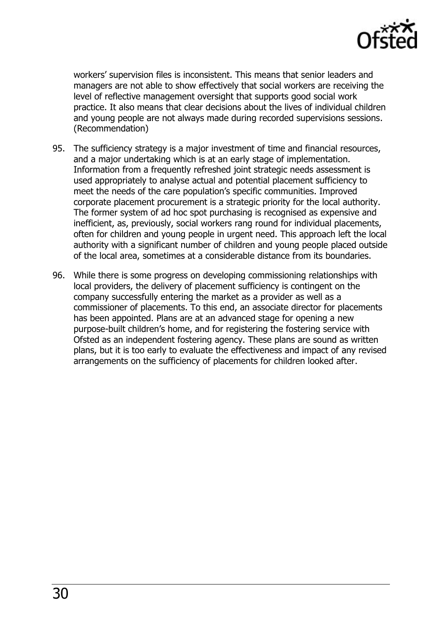

workers' supervision files is inconsistent. This means that senior leaders and managers are not able to show effectively that social workers are receiving the level of reflective management oversight that supports good social work practice. It also means that clear decisions about the lives of individual children and young people are not always made during recorded supervisions sessions. (Recommendation)

- 95. The sufficiency strategy is a major investment of time and financial resources, and a major undertaking which is at an early stage of implementation. Information from a frequently refreshed joint strategic needs assessment is used appropriately to analyse actual and potential placement sufficiency to meet the needs of the care population's specific communities. Improved corporate placement procurement is a strategic priority for the local authority. The former system of ad hoc spot purchasing is recognised as expensive and inefficient, as, previously, social workers rang round for individual placements, often for children and young people in urgent need. This approach left the local authority with a significant number of children and young people placed outside of the local area, sometimes at a considerable distance from its boundaries.
- 96. While there is some progress on developing commissioning relationships with local providers, the delivery of placement sufficiency is contingent on the company successfully entering the market as a provider as well as a commissioner of placements. To this end, an associate director for placements has been appointed. Plans are at an advanced stage for opening a new purpose-built children's home, and for registering the fostering service with Ofsted as an independent fostering agency. These plans are sound as written plans, but it is too early to evaluate the effectiveness and impact of any revised arrangements on the sufficiency of placements for children looked after.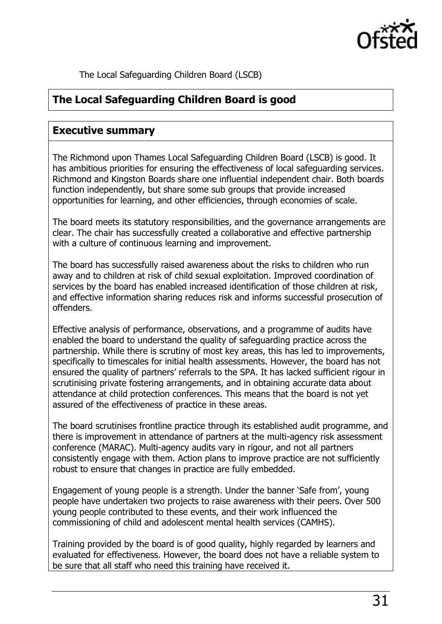

<span id="page-30-2"></span>The Local Safeguarding Children Board (LSCB)

## <span id="page-30-0"></span>**The Local Safeguarding Children Board is good**

#### <span id="page-30-1"></span>**Executive summary**

The Richmond upon Thames Local Safeguarding Children Board (LSCB) is good. It has ambitious priorities for ensuring the effectiveness of local safeguarding services. Richmond and Kingston Boards share one influential independent chair. Both boards function independently, but share some sub groups that provide increased opportunities for learning, and other efficiencies, through economies of scale.

The board meets its statutory responsibilities, and the governance arrangements are clear. The chair has successfully created a collaborative and effective partnership with a culture of continuous learning and improvement.

The board has successfully raised awareness about the risks to children who run away and to children at risk of child sexual exploitation. Improved coordination of services by the board has enabled increased identification of those children at risk, and effective information sharing reduces risk and informs successful prosecution of offenders.

Effective analysis of performance, observations, and a programme of audits have enabled the board to understand the quality of safeguarding practice across the partnership. While there is scrutiny of most key areas, this has led to improvements, specifically to timescales for initial health assessments. However, the board has not ensured the quality of partners' referrals to the SPA. It has lacked sufficient rigour in scrutinising private fostering arrangements, and in obtaining accurate data about attendance at child protection conferences. This means that the board is not yet assured of the effectiveness of practice in these areas.

The board scrutinises frontline practice through its established audit programme, and there is improvement in attendance of partners at the multi-agency risk assessment conference (MARAC). Multi-agency audits vary in rigour, and not all partners consistently engage with them. Action plans to improve practice are not sufficiently robust to ensure that changes in practice are fully embedded.

Engagement of young people is a strength. Under the banner 'Safe from', young people have undertaken two projects to raise awareness with their peers. Over 500 young people contributed to these events, and their work influenced the commissioning of child and adolescent mental health services (CAMHS).

Training provided by the board is of good quality, highly regarded by learners and evaluated for effectiveness. However, the board does not have a reliable system to be sure that all staff who need this training have received it.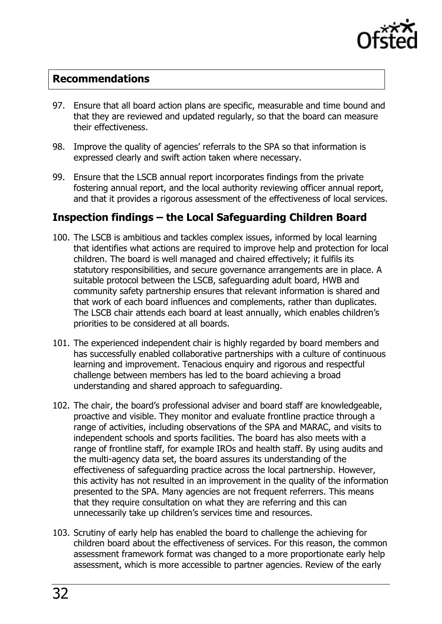

#### **Recommendations**

- 97. Ensure that all board action plans are specific, measurable and time bound and that they are reviewed and updated regularly, so that the board can measure their effectiveness.
- 98. Improve the quality of agencies' referrals to the SPA so that information is expressed clearly and swift action taken where necessary.
- 99. Ensure that the LSCB annual report incorporates findings from the private fostering annual report, and the local authority reviewing officer annual report, and that it provides a rigorous assessment of the effectiveness of local services.

## <span id="page-31-0"></span>**Inspection findings – the Local Safeguarding Children Board**

- 100. The LSCB is ambitious and tackles complex issues, informed by local learning that identifies what actions are required to improve help and protection for local children. The board is well managed and chaired effectively; it fulfils its statutory responsibilities, and secure governance arrangements are in place. A suitable protocol between the LSCB, safeguarding adult board, HWB and community safety partnership ensures that relevant information is shared and that work of each board influences and complements, rather than duplicates. The LSCB chair attends each board at least annually, which enables children's priorities to be considered at all boards.
- 101. The experienced independent chair is highly regarded by board members and has successfully enabled collaborative partnerships with a culture of continuous learning and improvement. Tenacious enquiry and rigorous and respectful challenge between members has led to the board achieving a broad understanding and shared approach to safeguarding.
- 102. The chair, the board's professional adviser and board staff are knowledgeable, proactive and visible. They monitor and evaluate frontline practice through a range of activities, including observations of the SPA and MARAC, and visits to independent schools and sports facilities. The board has also meets with a range of frontline staff, for example IROs and health staff. By using audits and the multi-agency data set, the board assures its understanding of the effectiveness of safeguarding practice across the local partnership. However, this activity has not resulted in an improvement in the quality of the information presented to the SPA. Many agencies are not frequent referrers. This means that they require consultation on what they are referring and this can unnecessarily take up children's services time and resources.
- 103. Scrutiny of early help has enabled the board to challenge the achieving for children board about the effectiveness of services. For this reason, the common assessment framework format was changed to a more proportionate early help assessment, which is more accessible to partner agencies. Review of the early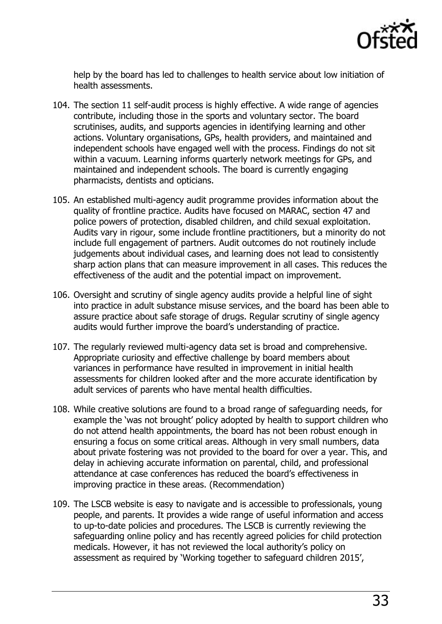

help by the board has led to challenges to health service about low initiation of health assessments.

- 104. The section 11 self-audit process is highly effective. A wide range of agencies contribute, including those in the sports and voluntary sector. The board scrutinises, audits, and supports agencies in identifying learning and other actions. Voluntary organisations, GPs, health providers, and maintained and independent schools have engaged well with the process. Findings do not sit within a vacuum. Learning informs quarterly network meetings for GPs, and maintained and independent schools. The board is currently engaging pharmacists, dentists and opticians.
- 105. An established multi-agency audit programme provides information about the quality of frontline practice. Audits have focused on MARAC, section 47 and police powers of protection, disabled children, and child sexual exploitation. Audits vary in rigour, some include frontline practitioners, but a minority do not include full engagement of partners. Audit outcomes do not routinely include judgements about individual cases, and learning does not lead to consistently sharp action plans that can measure improvement in all cases. This reduces the effectiveness of the audit and the potential impact on improvement.
- 106. Oversight and scrutiny of single agency audits provide a helpful line of sight into practice in adult substance misuse services, and the board has been able to assure practice about safe storage of drugs. Regular scrutiny of single agency audits would further improve the board's understanding of practice.
- 107. The regularly reviewed multi-agency data set is broad and comprehensive. Appropriate curiosity and effective challenge by board members about variances in performance have resulted in improvement in initial health assessments for children looked after and the more accurate identification by adult services of parents who have mental health difficulties.
- 108. While creative solutions are found to a broad range of safeguarding needs, for example the 'was not brought' policy adopted by health to support children who do not attend health appointments, the board has not been robust enough in ensuring a focus on some critical areas. Although in very small numbers, data about private fostering was not provided to the board for over a year. This, and delay in achieving accurate information on parental, child, and professional attendance at case conferences has reduced the board's effectiveness in improving practice in these areas. (Recommendation)
- 109. The LSCB website is easy to navigate and is accessible to professionals, young people, and parents. It provides a wide range of useful information and access to up-to-date policies and procedures. The LSCB is currently reviewing the safeguarding online policy and has recently agreed policies for child protection medicals. However, it has not reviewed the local authority's policy on assessment as required by 'Working together to safeguard children 2015',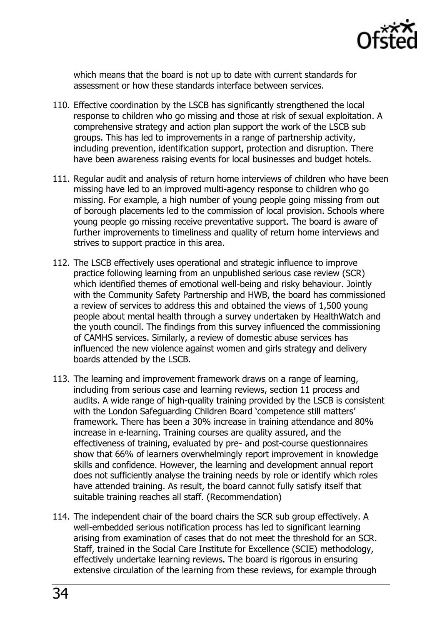

which means that the board is not up to date with current standards for assessment or how these standards interface between services.

- 110. Effective coordination by the LSCB has significantly strengthened the local response to children who go missing and those at risk of sexual exploitation. A comprehensive strategy and action plan support the work of the LSCB sub groups. This has led to improvements in a range of partnership activity, including prevention, identification support, protection and disruption. There have been awareness raising events for local businesses and budget hotels.
- 111. Regular audit and analysis of return home interviews of children who have been missing have led to an improved multi-agency response to children who go missing. For example, a high number of young people going missing from out of borough placements led to the commission of local provision. Schools where young people go missing receive preventative support. The board is aware of further improvements to timeliness and quality of return home interviews and strives to support practice in this area.
- 112. The LSCB effectively uses operational and strategic influence to improve practice following learning from an unpublished serious case review (SCR) which identified themes of emotional well-being and risky behaviour. Jointly with the Community Safety Partnership and HWB, the board has commissioned a review of services to address this and obtained the views of 1,500 young people about mental health through a survey undertaken by HealthWatch and the youth council. The findings from this survey influenced the commissioning of CAMHS services. Similarly, a review of domestic abuse services has influenced the new violence against women and girls strategy and delivery boards attended by the LSCB.
- 113. The learning and improvement framework draws on a range of learning, including from serious case and learning reviews, section 11 process and audits. A wide range of high-quality training provided by the LSCB is consistent with the London Safeguarding Children Board 'competence still matters' framework. There has been a 30% increase in training attendance and 80% increase in e-learning. Training courses are quality assured, and the effectiveness of training, evaluated by pre- and post-course questionnaires show that 66% of learners overwhelmingly report improvement in knowledge skills and confidence. However, the learning and development annual report does not sufficiently analyse the training needs by role or identify which roles have attended training. As result, the board cannot fully satisfy itself that suitable training reaches all staff. (Recommendation)
- 114. The independent chair of the board chairs the SCR sub group effectively. A well-embedded serious notification process has led to significant learning arising from examination of cases that do not meet the threshold for an SCR. Staff, trained in the Social Care Institute for Excellence (SCIE) methodology, effectively undertake learning reviews. The board is rigorous in ensuring extensive circulation of the learning from these reviews, for example through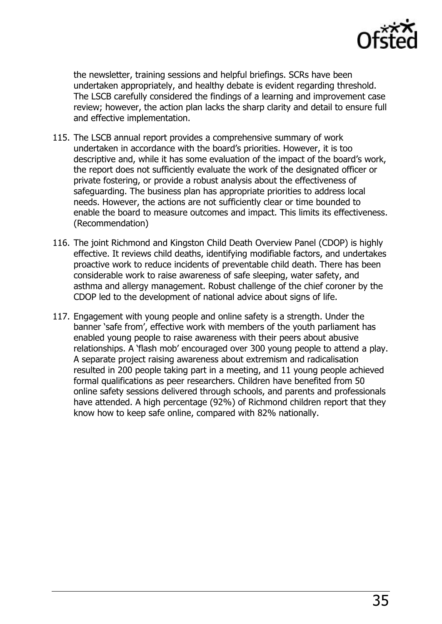

the newsletter, training sessions and helpful briefings. SCRs have been undertaken appropriately, and healthy debate is evident regarding threshold. The LSCB carefully considered the findings of a learning and improvement case review; however, the action plan lacks the sharp clarity and detail to ensure full and effective implementation.

- 115. The LSCB annual report provides a comprehensive summary of work undertaken in accordance with the board's priorities. However, it is too descriptive and, while it has some evaluation of the impact of the board's work, the report does not sufficiently evaluate the work of the designated officer or private fostering, or provide a robust analysis about the effectiveness of safeguarding. The business plan has appropriate priorities to address local needs. However, the actions are not sufficiently clear or time bounded to enable the board to measure outcomes and impact. This limits its effectiveness. (Recommendation)
- 116. The joint Richmond and Kingston Child Death Overview Panel (CDOP) is highly effective. It reviews child deaths, identifying modifiable factors, and undertakes proactive work to reduce incidents of preventable child death. There has been considerable work to raise awareness of safe sleeping, water safety, and asthma and allergy management. Robust challenge of the chief coroner by the CDOP led to the development of national advice about signs of life.
- 117. Engagement with young people and online safety is a strength. Under the banner 'safe from', effective work with members of the youth parliament has enabled young people to raise awareness with their peers about abusive relationships. A 'flash mob' encouraged over 300 young people to attend a play. A separate project raising awareness about extremism and radicalisation resulted in 200 people taking part in a meeting, and 11 young people achieved formal qualifications as peer researchers. Children have benefited from 50 online safety sessions delivered through schools, and parents and professionals have attended. A high percentage (92%) of Richmond children report that they know how to keep safe online, compared with 82% nationally.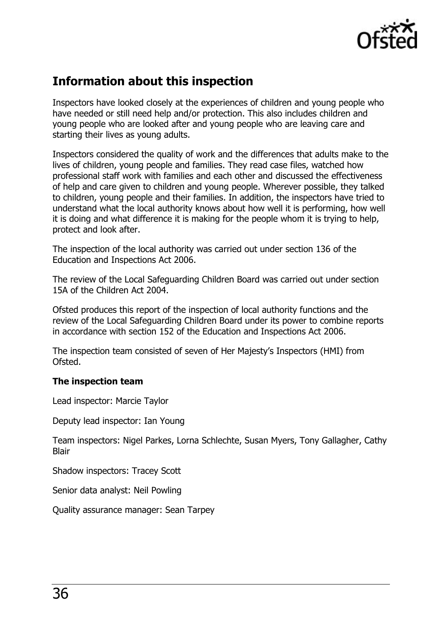

## <span id="page-35-0"></span>**Information about this inspection**

Inspectors have looked closely at the experiences of children and young people who have needed or still need help and/or protection. This also includes children and young people who are looked after and young people who are leaving care and starting their lives as young adults.

Inspectors considered the quality of work and the differences that adults make to the lives of children, young people and families. They read case files, watched how professional staff work with families and each other and discussed the effectiveness of help and care given to children and young people. Wherever possible, they talked to children, young people and their families. In addition, the inspectors have tried to understand what the local authority knows about how well it is performing, how well it is doing and what difference it is making for the people whom it is trying to help, protect and look after.

The inspection of the local authority was carried out under section 136 of the Education and Inspections Act 2006.

The review of the Local Safeguarding Children Board was carried out under section 15A of the Children Act 2004.

Ofsted produces this report of the inspection of local authority functions and the review of the Local Safeguarding Children Board under its power to combine reports in accordance with section 152 of the Education and Inspections Act 2006.

The inspection team consisted of seven of Her Majesty's Inspectors (HMI) from Ofsted.

#### **The inspection team**

Lead inspector: Marcie Taylor

Deputy lead inspector: Ian Young

Team inspectors: Nigel Parkes, Lorna Schlechte, Susan Myers, Tony Gallagher, Cathy **Blair** 

Shadow inspectors: Tracey Scott

Senior data analyst: Neil Powling

Quality assurance manager: Sean Tarpey